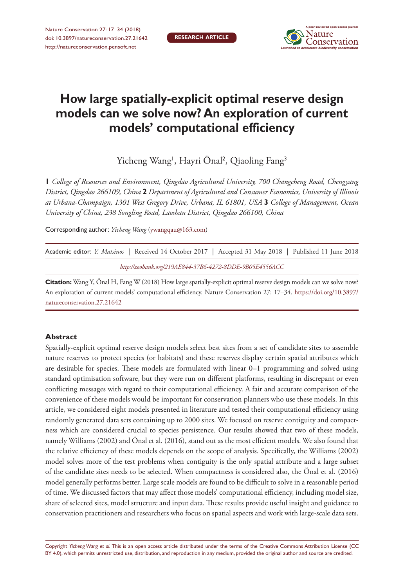

# **How large spatially-explicit optimal reserve design models can we solve now? An exploration of current models' computational efficiency**

Yicheng Wang<sup>1</sup>, Hayri Önal<sup>2</sup>, Qiaoling Fang<sup>3</sup>

**1** *College of Resources and Environment, Qingdao Agricultural University, 700 Changcheng Road, Chengyang District, Qingdao 266109, China* **2** *Department of Agricultural and Consumer Economics, University of Illinois at Urbana-Champaign, 1301 West Gregory Drive, Urbana, IL 61801, USA* **3** *College of Management, Ocean University of China, 238 Songling Road, Laoshan District, Qingdao 266100, China*

Corresponding author: *Yicheng Wang* [\(ywangqau@163.com](mailto:ywangqau@163.com))

| Academic editor: <i>Y. Matsinos</i>   Received 14 October 2017   Accepted 31 May 2018   Published 11 June 2018 |  |
|----------------------------------------------------------------------------------------------------------------|--|
| http://zoobank.org/219AE844-37B6-4272-8DDE-9B05E4556ACC                                                        |  |

**Citation:** Wang Y, Önal H, Fang W (2018) How large spatially-explicit optimal reserve design models can we solve now? An exploration of current models' computational efficiency. Nature Conservation 27: 17–34. [https://doi.org/10.3897/](https://doi.org/10.3897/natureconservation.27.21642) [natureconservation.27.21642](https://doi.org/10.3897/natureconservation.27.21642)

## **Abstract**

Spatially-explicit optimal reserve design models select best sites from a set of candidate sites to assemble nature reserves to protect species (or habitats) and these reserves display certain spatial attributes which are desirable for species. These models are formulated with linear 0–1 programming and solved using standard optimisation software, but they were run on different platforms, resulting in discrepant or even conflicting messages with regard to their computational efficiency. A fair and accurate comparison of the convenience of these models would be important for conservation planners who use these models. In this article, we considered eight models presented in literature and tested their computational efficiency using randomly generated data sets containing up to 2000 sites. We focused on reserve contiguity and compactness which are considered crucial to species persistence. Our results showed that two of these models, namely Williams (2002) and Önal et al. (2016), stand out as the most efficient models. We also found that the relative efficiency of these models depends on the scope of analysis. Specifically, the Williams (2002) model solves more of the test problems when contiguity is the only spatial attribute and a large subset of the candidate sites needs to be selected. When compactness is considered also, the Önal et al. (2016) model generally performs better. Large scale models are found to be difficult to solve in a reasonable period of time. We discussed factors that may affect those models' computational efficiency, including model size, share of selected sites, model structure and input data. These results provide useful insight and guidance to conservation practitioners and researchers who focus on spatial aspects and work with large-scale data sets.

Copyright *Yicheng Wang et al.* This is an open access article distributed under the terms of the [Creative Commons Attribution License \(CC](http://creativecommons.org/licenses/by/4.0/)  [BY 4.0\)](http://creativecommons.org/licenses/by/4.0/), which permits unrestricted use, distribution, and reproduction in any medium, provided the original author and source are credited.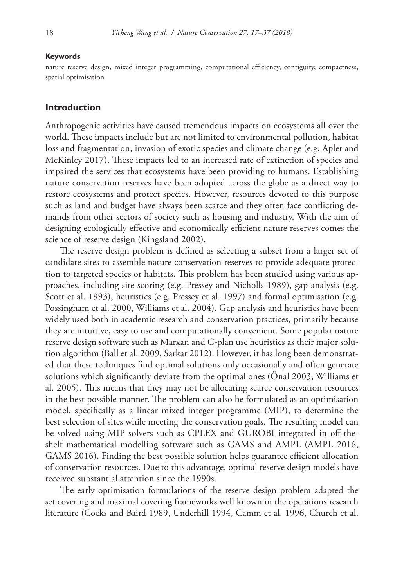#### **Keywords**

nature reserve design, mixed integer programming, computational efficiency, contiguity, compactness, spatial optimisation

#### **Introduction**

Anthropogenic activities have caused tremendous impacts on ecosystems all over the world. These impacts include but are not limited to environmental pollution, habitat loss and fragmentation, invasion of exotic species and climate change (e.g. Aplet and McKinley 2017). These impacts led to an increased rate of extinction of species and impaired the services that ecosystems have been providing to humans. Establishing nature conservation reserves have been adopted across the globe as a direct way to restore ecosystems and protect species. However, resources devoted to this purpose such as land and budget have always been scarce and they often face conflicting demands from other sectors of society such as housing and industry. With the aim of designing ecologically effective and economically efficient nature reserves comes the science of reserve design (Kingsland 2002).

The reserve design problem is defined as selecting a subset from a larger set of candidate sites to assemble nature conservation reserves to provide adequate protection to targeted species or habitats. This problem has been studied using various approaches, including site scoring (e.g. Pressey and Nicholls 1989), gap analysis (e.g. Scott et al. 1993), heuristics (e.g. Pressey et al. 1997) and formal optimisation (e.g. Possingham et al. 2000, Williams et al. 2004). Gap analysis and heuristics have been widely used both in academic research and conservation practices, primarily because they are intuitive, easy to use and computationally convenient. Some popular nature reserve design software such as Marxan and C-plan use heuristics as their major solution algorithm (Ball et al. 2009, Sarkar 2012). However, it has long been demonstrated that these techniques find optimal solutions only occasionally and often generate solutions which significantly deviate from the optimal ones (Önal 2003, Williams et al. 2005). This means that they may not be allocating scarce conservation resources in the best possible manner. The problem can also be formulated as an optimisation model, specifically as a linear mixed integer programme (MIP), to determine the best selection of sites while meeting the conservation goals. The resulting model can be solved using MIP solvers such as CPLEX and GUROBI integrated in off-theshelf mathematical modelling software such as GAMS and AMPL (AMPL 2016, GAMS 2016). Finding the best possible solution helps guarantee efficient allocation of conservation resources. Due to this advantage, optimal reserve design models have received substantial attention since the 1990s.

The early optimisation formulations of the reserve design problem adapted the set covering and maximal covering frameworks well known in the operations research literature (Cocks and Baird 1989, Underhill 1994, Camm et al. 1996, Church et al.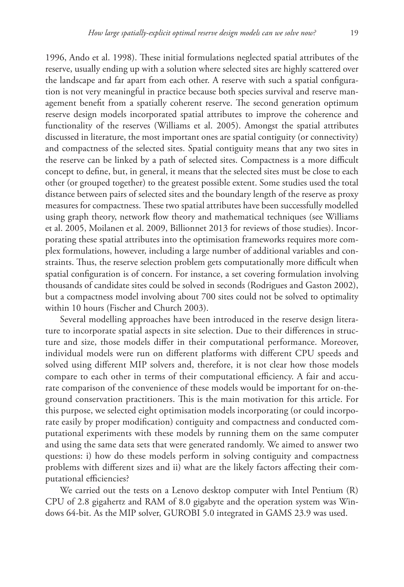1996, Ando et al. 1998). These initial formulations neglected spatial attributes of the reserve, usually ending up with a solution where selected sites are highly scattered over the landscape and far apart from each other. A reserve with such a spatial configuration is not very meaningful in practice because both species survival and reserve management benefit from a spatially coherent reserve. The second generation optimum reserve design models incorporated spatial attributes to improve the coherence and functionality of the reserves (Williams et al. 2005). Amongst the spatial attributes discussed in literature, the most important ones are spatial contiguity (or connectivity) and compactness of the selected sites. Spatial contiguity means that any two sites in the reserve can be linked by a path of selected sites. Compactness is a more difficult concept to define, but, in general, it means that the selected sites must be close to each other (or grouped together) to the greatest possible extent. Some studies used the total distance between pairs of selected sites and the boundary length of the reserve as proxy measures for compactness. These two spatial attributes have been successfully modelled using graph theory, network flow theory and mathematical techniques (see Williams et al. 2005, Moilanen et al. 2009, Billionnet 2013 for reviews of those studies). Incorporating these spatial attributes into the optimisation frameworks requires more complex formulations, however, including a large number of additional variables and constraints. Thus, the reserve selection problem gets computationally more difficult when spatial configuration is of concern. For instance, a set covering formulation involving thousands of candidate sites could be solved in seconds (Rodrigues and Gaston 2002), but a compactness model involving about 700 sites could not be solved to optimality within 10 hours (Fischer and Church 2003).

Several modelling approaches have been introduced in the reserve design literature to incorporate spatial aspects in site selection. Due to their differences in structure and size, those models differ in their computational performance. Moreover, individual models were run on different platforms with different CPU speeds and solved using different MIP solvers and, therefore, it is not clear how those models compare to each other in terms of their computational efficiency. A fair and accurate comparison of the convenience of these models would be important for on-theground conservation practitioners. This is the main motivation for this article. For this purpose, we selected eight optimisation models incorporating (or could incorporate easily by proper modification) contiguity and compactness and conducted computational experiments with these models by running them on the same computer and using the same data sets that were generated randomly. We aimed to answer two questions: i) how do these models perform in solving contiguity and compactness problems with different sizes and ii) what are the likely factors affecting their computational efficiencies?

We carried out the tests on a Lenovo desktop computer with Intel Pentium (R) CPU of 2.8 gigahertz and RAM of 8.0 gigabyte and the operation system was Windows 64-bit. As the MIP solver, GUROBI 5.0 integrated in GAMS 23.9 was used.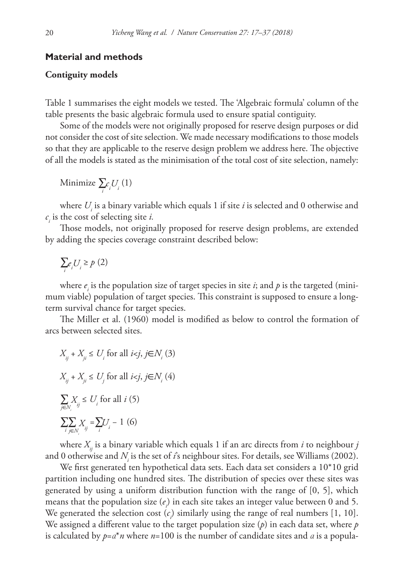#### **Material and methods**

## **Contiguity models**

Table 1 summarises the eight models we tested. The 'Algebraic formula' column of the table presents the basic algebraic formula used to ensure spatial contiguity.

Some of the models were not originally proposed for reserve design purposes or did not consider the cost of site selection. We made necessary modifications to those models so that they are applicable to the reserve design problem we address here. The objective of all the models is stated as the minimisation of the total cost of site selection, namely:

Minimize  $\sum_i c_i U_i(1)$ 

where  $U_i$  is a binary variable which equals 1 if site  $i$  is selected and 0 otherwise and  $c_i$  is the cost of selecting site *i*.

Those models, not originally proposed for reserve design problems, are extended by adding the species coverage constraint described below:

$$
\sum_i e_i U_i \geq p\ (2)
$$

where  $e_i$  is the population size of target species in site *i*; and  $p$  is the targeted (minimum viable) population of target species. This constraint is supposed to ensure a longterm survival chance for target species.

The Miller et al. (1960) model is modified as below to control the formation of arcs between selected sites.

$$
X_{ij} + X_{ji} \le U_i \text{ for all } i < j, j \in N_i \text{ (3)}
$$
\n
$$
X_{ij} + X_{ji} \le U_j \text{ for all } i < j, j \in N_i \text{ (4)}
$$
\n
$$
\sum_{j \in N_i} X_{ij} \le U_i \text{ for all } i \text{ (5)}
$$
\n
$$
\sum_{i} \sum_{j \in N_i} X_{ij} = \sum_i U_i - 1 \text{ (6)}
$$

where  $X_{ii}$  is a binary variable which equals 1 if an arc directs from *i* to neighbour *j* and 0 otherwise and  $N_{\scriptscriptstyle \hat{i}}$  is the set of  $\it i$ 's neighbour sites. For details, see Williams (2002).

We first generated ten hypothetical data sets. Each data set considers a 10\*10 grid partition including one hundred sites. The distribution of species over these sites was generated by using a uniform distribution function with the range of [0, 5], which means that the population size  $(e_i)$  in each site takes an integer value between 0 and 5. We generated the selection cost  $(c_i)$  similarly using the range of real numbers [1, 10]. We assigned a different value to the target population size (*p*) in each data set, where *p* is calculated by *p*=*α*\**n* where *n*=100 is the number of candidate sites and *α* is a popula-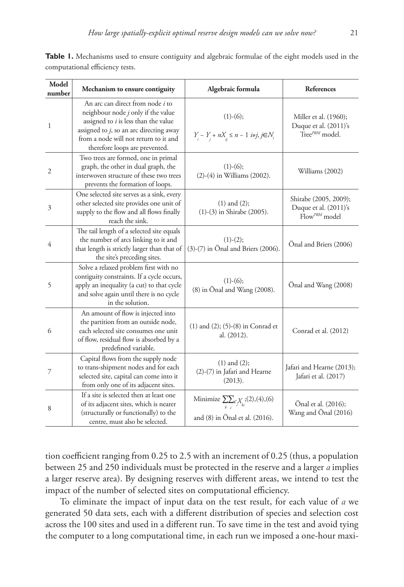| Model<br>number | Mechanism to ensure contiguity                                                                                                                                                                                                              | Algebraic formula                                                                  | References                                                                      |  |
|-----------------|---------------------------------------------------------------------------------------------------------------------------------------------------------------------------------------------------------------------------------------------|------------------------------------------------------------------------------------|---------------------------------------------------------------------------------|--|
| 1               | An arc can direct from node i to<br>neighbour node $j$ only if the value<br>assigned to $i$ is less than the value<br>assigned to $j$ , so an arc directing away<br>from a node will not return to it and<br>therefore loops are prevented. | $(1)-(6);$<br>$Y_{_{i}} - Y_{_{j}} + nX_{_{ij}} \leq n-1 \ i\neq j, j\in N_{_{i}}$ | Miller et al. (1960);<br>Duque et al. $(2011)$ 's<br>Tree <sup>PRM</sup> model. |  |
| $\overline{2}$  | Two trees are formed, one in primal<br>graph, the other in dual graph, the<br>interwoven structure of these two trees<br>prevents the formation of loops.                                                                                   | $(1)-(6);$<br>$(2)-(4)$ in Williams $(2002)$ .                                     | Williams (2002)                                                                 |  |
| 3               | One selected site serves as a sink, every<br>other selected site provides one unit of<br>supply to the flow and all flows finally<br>reach the sink.                                                                                        | $(1)$ and $(2)$ ;<br>$(1)-(3)$ in Shirabe $(2005)$ .                               | Shirabe (2005, 2009);<br>Duque et al. (2011)'s<br>$Flow^{PRM}$ model            |  |
| 4               | The tail length of a selected site equals<br>the number of arcs linking to it and<br>that length is strictly larger than that of<br>the site's preceding sites.                                                                             | $(1)-(2);$<br>$(3)-(7)$ in Önal and Briers $(2006)$ .                              | Önal and Briers (2006)                                                          |  |
| 5               | Solve a relaxed problem first with no<br>contiguity constraints. If a cycle occurs,<br>apply an inequality (a cut) to that cycle<br>and solve again until there is no cycle<br>in the solution.                                             | $(1)-(6);$<br>(8) in Önal and Wang (2008).                                         | Onal and Wang (2008)                                                            |  |
| 6               | An amount of flow is injected into<br>the partition from an outside node,<br>each selected site consumes one unit<br>of flow, residual flow is absorbed by a<br>predefined variable.                                                        | $(1)$ and $(2)$ ; $(5)-(8)$ in Conrad et<br>al. (2012).                            | Conrad et al. (2012)                                                            |  |
| 7               | Capital flows from the supply node<br>to trans-shipment nodes and for each<br>selected site, capital can come into it<br>from only one of its adjacent sites.                                                                               | $(1)$ and $(2)$ ;<br>(2)-(7) in Jafari and Hearne<br>(2013).                       | Jafari and Hearne (2013);<br>Jafari et al. (2017)                               |  |
| 8               | If a site is selected then at least one<br>of its adjacent sites, which is nearer<br>(structurally or functionally) to the<br>centre, must also be selected.                                                                                | Minimize $\sum_{k} c X_i$ ; (2), (4), (6)<br>and (8) in Önal et al. (2016).        | Önal et al. (2016);<br>Wang and Önal (2016)                                     |  |

**Table 1.** Mechanisms used to ensure contiguity and algebraic formulae of the eight models used in the computational efficiency tests.

tion coefficient ranging from 0.25 to 2.5 with an increment of 0.25 (thus, a population between 25 and 250 individuals must be protected in the reserve and a larger *α* implies a larger reserve area). By designing reserves with different areas, we intend to test the impact of the number of selected sites on computational efficiency.

To eliminate the impact of input data on the test result, for each value of *α* we generated 50 data sets, each with a different distribution of species and selection cost across the 100 sites and used in a different run. To save time in the test and avoid tying the computer to a long computational time, in each run we imposed a one-hour maxi-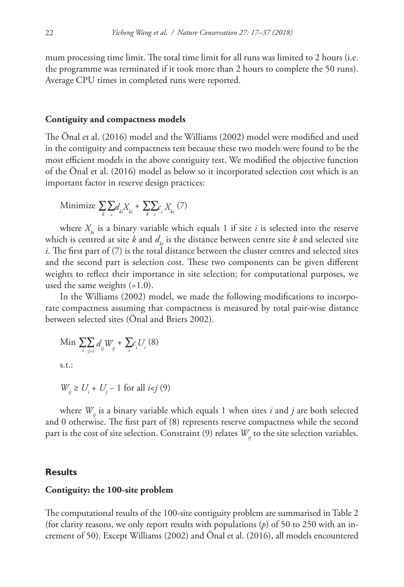mum processing time limit. The total time limit for all runs was limited to 2 hours (i.e. the programme was terminated if it took more than 2 hours to complete the 50 runs). Average CPU times in completed runs were reported.

#### **Contiguity and compactness models**

The Önal et al. (2016) model and the Williams (2002) model were modified and used in the contiguity and compactness test because these two models were found to be the most efficient models in the above contiguity test. We modified the objective function of the Önal et al. (2016) model as below so it incorporated selection cost which is an important factor in reserve design practices:

Minimize 
$$
\sum_{k} \sum_{i} d_{ki} X_{ki} + \sum_{k} \sum_{i} c_{i} X_{ki} (7)
$$

where  $X_{i,j}$  is a binary variable which equals 1 if site *i* is selected into the reserve which is centred at site  $k$  and  $d_k$  is the distance between centre site  $k$  and selected site *i*. The first part of (7) is the total distance between the cluster centres and selected sites and the second part is selection cost. These two components can be given different weights to reflect their importance in site selection; for computational purposes, we used the same weights  $(=1.0)$ .

In the Williams (2002) model, we made the following modifications to incorporate compactness assuming that compactness is measured by total pair-wise distance between selected sites (Önal and Briers 2002).

Min 
$$
\sum_{i} \sum_{j>i} d_{ij} W_{ij} + \sum_{i} c_i U_i (8)
$$
 s.t.:

*W*<sub>*ij*</sub> ≥ *U<sub>i</sub>* + *U<sub>j</sub>* − 1 for all *i<j* (9)

where  $W_{ii}$  is a binary variable which equals 1 when sites  $i$  and  $j$  are both selected and 0 otherwise. The first part of (8) represents reserve compactness while the second part is the cost of site selection. Constraint (9) relates  $W_{ij}$  to the site selection variables.

## **Results**

#### **Contiguity: the 100-site problem**

The computational results of the 100-site contiguity problem are summarised in Table 2 (for clarity reasons, we only report results with populations (*p*) of 50 to 250 with an increment of 50). Except Williams (2002) and Önal et al. (2016), all models encountered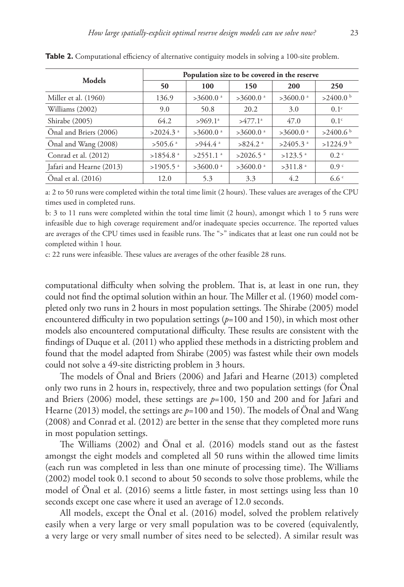| Models                   | Population size to be covered in the reserve |                        |                        |                        |                      |  |  |  |
|--------------------------|----------------------------------------------|------------------------|------------------------|------------------------|----------------------|--|--|--|
|                          | 50                                           | 100                    | 150                    | 200                    | 250                  |  |  |  |
| Miller et al. (1960)     | 136.9                                        | $>3600.0$ <sup>a</sup> | $>3600.0$ <sup>a</sup> | $>3600.0$ <sup>a</sup> | $>2400.0$ b          |  |  |  |
| Williams (2002)          | 9.0                                          | 50.8                   | 20.2                   | 3.0                    | 0.1 <sup>c</sup>     |  |  |  |
| Shirabe (2005)           | 64.2                                         | $>969.1$ <sup>a</sup>  | >477.1 <sup>a</sup>    | 47.0                   | 0.1 <sup>c</sup>     |  |  |  |
| Önal and Briers (2006)   | $>2024.3$ <sup>a</sup>                       | $>3600.0$ <sup>a</sup> | $>3600.0$ <sup>a</sup> | $>3600.0$ <sup>a</sup> | >2400.6 <sup>b</sup> |  |  |  |
| Önal and Wang (2008)     | $>505.6$ <sup>a</sup>                        | $>944.4$ <sup>a</sup>  | $>824.2$ <sup>a</sup>  | $>2405.3$ <sup>a</sup> | >1224.9 <sup>b</sup> |  |  |  |
| Conrad et al. (2012)     | $>1854.8$ <sup>a</sup>                       | $>2551.1$ <sup>a</sup> | $>2026.5$ <sup>a</sup> | $>123.5$ <sup>a</sup>  | 0.2 <sup>c</sup>     |  |  |  |
| Jafari and Hearne (2013) | $>1905.5$ <sup>a</sup>                       | $>3600.0$ <sup>a</sup> | $>3600.0$ <sup>a</sup> | $>311.8$ <sup>a</sup>  | 0.9 <sup>c</sup>     |  |  |  |
| Önal et al. (2016)       | 12.0                                         | 5.3                    | 3.3                    | 4.2                    | 6.6 <sup>c</sup>     |  |  |  |

**Table 2.** Computational efficiency of alternative contiguity models in solving a 100-site problem.

a: 2 to 50 runs were completed within the total time limit (2 hours). These values are averages of the CPU times used in completed runs.

b: 3 to 11 runs were completed within the total time limit (2 hours), amongst which 1 to 5 runs were infeasible due to high coverage requirement and/or inadequate species occurrence. The reported values are averages of the CPU times used in feasible runs. The ">" indicates that at least one run could not be completed within 1 hour.

c: 22 runs were infeasible. These values are averages of the other feasible 28 runs.

computational difficulty when solving the problem. That is, at least in one run, they could not find the optimal solution within an hour. The Miller et al. (1960) model completed only two runs in 2 hours in most population settings. The Shirabe (2005) model encountered difficulty in two population settings (*p*=100 and 150), in which most other models also encountered computational difficulty. These results are consistent with the findings of Duque et al. (2011) who applied these methods in a districting problem and found that the model adapted from Shirabe (2005) was fastest while their own models could not solve a 49-site districting problem in 3 hours.

The models of Önal and Briers (2006) and Jafari and Hearne (2013) completed only two runs in 2 hours in, respectively, three and two population settings (for Önal and Briers (2006) model, these settings are *p*=100, 150 and 200 and for Jafari and Hearne (2013) model, the settings are *p*=100 and 150). The models of Önal and Wang (2008) and Conrad et al. (2012) are better in the sense that they completed more runs in most population settings.

The Williams (2002) and Önal et al. (2016) models stand out as the fastest amongst the eight models and completed all 50 runs within the allowed time limits (each run was completed in less than one minute of processing time). The Williams (2002) model took 0.1 second to about 50 seconds to solve those problems, while the model of Önal et al. (2016) seems a little faster, in most settings using less than 10 seconds except one case where it used an average of 12.0 seconds.

All models, except the Önal et al. (2016) model, solved the problem relatively easily when a very large or very small population was to be covered (equivalently, a very large or very small number of sites need to be selected). A similar result was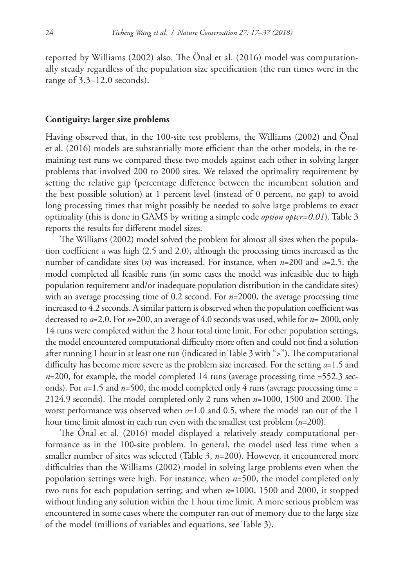reported by Williams (2002) also. The Önal et al. (2016) model was computationally steady regardless of the population size specification (the run times were in the range of 3.3–12.0 seconds).

#### **Contiguity: larger size problems**

Having observed that, in the 100-site test problems, the Williams (2002) and Önal et al. (2016) models are substantially more efficient than the other models, in the remaining test runs we compared these two models against each other in solving larger problems that involved 200 to 2000 sites. We relaxed the optimality requirement by setting the relative gap (percentage difference between the incumbent solution and the best possible solution) at 1 percent level (instead of 0 percent, no gap) to avoid long processing times that might possibly be needed to solve large problems to exact optimality (this is done in GAMS by writing a simple code *option optcr=0.01*). Table 3 reports the results for different model sizes.

The Williams (2002) model solved the problem for almost all sizes when the population coefficient *α* was high (2.5 and 2.0), although the processing times increased as the number of candidate sites (*n*) was increased. For instance, when *n*=200 and *α*=2.5, the model completed all feasible runs (in some cases the model was infeasible due to high population requirement and/or inadequate population distribution in the candidate sites) with an average processing time of 0.2 second. For *n*=2000, the average processing time increased to 4.2 seconds. A similar pattern is observed when the population coefficient was decreased to *α*=2.0. For *n*=200, an average of 4.0 seconds was used, while for *n*= 2000, only 14 runs were completed within the 2 hour total time limit. For other population settings, the model encountered computational difficulty more often and could not find a solution after running 1 hour in at least one run (indicated in Table 3 with ">"). The computational difficulty has become more severe as the problem size increased. For the setting *α*=1.5 and  $n=200$ , for example, the model completed 14 runs (average processing time  $=552.3$  seconds). For *α*=1.5 and *n*=500, the model completed only 4 runs (average processing time = 2124.9 seconds). The model completed only 2 runs when *n*=1000, 1500 and 2000. The worst performance was observed when *α*=1.0 and 0.5, where the model ran out of the 1 hour time limit almost in each run even with the smallest test problem (*n*=200).

The Önal et al. (2016) model displayed a relatively steady computational performance as in the 100-site problem. In general, the model used less time when a smaller number of sites was selected (Table 3, *n*=200). However, it encountered more difficulties than the Williams (2002) model in solving large problems even when the population settings were high. For instance, when *n*=500, the model completed only two runs for each population setting; and when *n*=1000, 1500 and 2000, it stopped without finding any solution within the 1 hour time limit. A more serious problem was encountered in some cases where the computer ran out of memory due to the large size of the model (millions of variables and equations, see Table 3).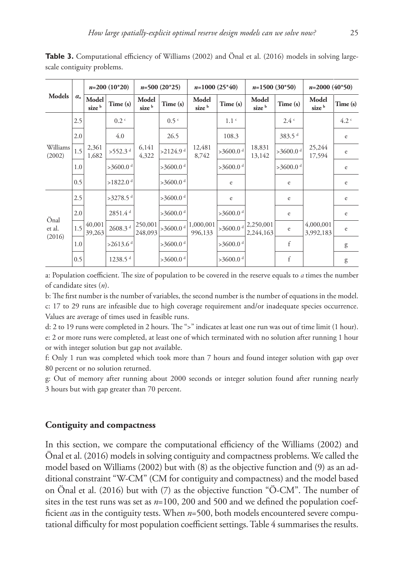| Models                   | $\mathcal{O}_a$ | $n=200(10*20)$             |                        | $n=500(20*25)$             |                          | $n=1000(25*40)$            |                        | $n=1500(30*50)$            |                        | $n=2000(40*50)$            |                  |
|--------------------------|-----------------|----------------------------|------------------------|----------------------------|--------------------------|----------------------------|------------------------|----------------------------|------------------------|----------------------------|------------------|
|                          |                 | Model<br>size <sup>b</sup> | Time (s)               | Model<br>size <sup>b</sup> | Time (s)                 | Model<br>size <sup>b</sup> | Time (s)               | Model<br>size <sup>b</sup> | Time(s)                | Model<br>size <sup>b</sup> | Time (s)         |
| Williams<br>(2002)       | 2.5             | 2,361<br>1,682             | 0.2 <sup>c</sup>       | 6,141<br>4,322             | 0.5 <sup>c</sup>         | 12,481<br>8,742            | 1.1 <sup>c</sup>       | 18,831<br>13,142           | 2.4C                   | 25,244<br>17,594           | 4.2 <sup>c</sup> |
|                          | 2.0             |                            | 4.0                    |                            | 26.5                     |                            | 108.3                  |                            | 383.5 <sup>d</sup>     |                            | $\rm e$          |
|                          | 1.5             |                            | $>552.3$ <sup>d</sup>  |                            | $>2124.9$ <sup>d</sup>   |                            | $>3600.0$ <sup>d</sup> |                            | $>3600.0$ <sup>d</sup> |                            | e                |
|                          | 1.0             |                            | $>3600.0$ <sup>d</sup> |                            | $>3600.0$ <sup>d</sup>   |                            | $>3600.0$ <sup>d</sup> |                            | $>3600.0$ <sup>d</sup> |                            | $\rm e$          |
|                          | 0.5             |                            | $>1822.0$ <sup>d</sup> |                            | $>3600.0$ <sup>d</sup>   |                            | e                      |                            | e                      |                            | e                |
| Önal<br>et al.<br>(2016) | 2.5             | 40,001<br>39,263           | $>3278.5$ <sup>d</sup> | 250,001<br>248,093         | $>3600.0$ <sup>d</sup>   | 1,000,001<br>996,133       | e                      | 2,250,001<br>2,244,163     | e                      | 4,000,001<br>3,992,183     | e                |
|                          | 2.0             |                            | 2851.4 <sup>d</sup>    |                            | >3600.0 $d$              |                            | $>3600.0$ <sup>d</sup> |                            | e                      |                            | e                |
|                          | 1.5             |                            | $2608.3$ $^{\rm d}$    |                            | $ >3600.0 $ <sup>d</sup> |                            | $>3600.0$ <sup>d</sup> |                            | e                      |                            | e                |
|                          | 1.0             |                            | $>2613.6$ <sup>d</sup> |                            | >3600.0 $d$              |                            | $>3600.0$ <sup>d</sup> |                            | f                      |                            | g                |
|                          | 0.5             |                            | 1238.5 <sup>d</sup>    |                            | $>3600.0$ <sup>d</sup>   |                            | $>3600.0$ <sup>d</sup> |                            | f                      |                            | g                |

**Table 3.** Computational efficiency of Williams (2002) and Önal et al. (2016) models in solving largescale contiguity problems.

a: Population coefficient. The size of population to be covered in the reserve equals to *α* times the number of candidate sites (*n*).

b: The first number is the number of variables, the second number is the number of equations in the model. c: 17 to 29 runs are infeasible due to high coverage requirement and/or inadequate species occurrence. Values are average of times used in feasible runs.

d: 2 to 19 runs were completed in 2 hours. The ">" indicates at least one run was out of time limit (1 hour). e: 2 or more runs were completed, at least one of which terminated with no solution after running 1 hour or with integer solution but gap not available.

f: Only 1 run was completed which took more than 7 hours and found integer solution with gap over 80 percent or no solution returned.

g: Out of memory after running about 2000 seconds or integer solution found after running nearly 3 hours but with gap greater than 70 percent.

### **Contiguity and compactness**

In this section, we compare the computational efficiency of the Williams (2002) and Önal et al. (2016) models in solving contiguity and compactness problems. We called the model based on Williams (2002) but with (8) as the objective function and (9) as an additional constraint "W-CM" (CM for contiguity and compactness) and the model based on Önal et al. (2016) but with (7) as the objective function "Ö-CM". The number of sites in the test runs was set as  $n=100$ , 200 and 500 and we defined the population coefficient *α*as in the contiguity tests. When *n*=500, both models encountered severe computational difficulty for most population coefficient settings. Table 4 summarises the results.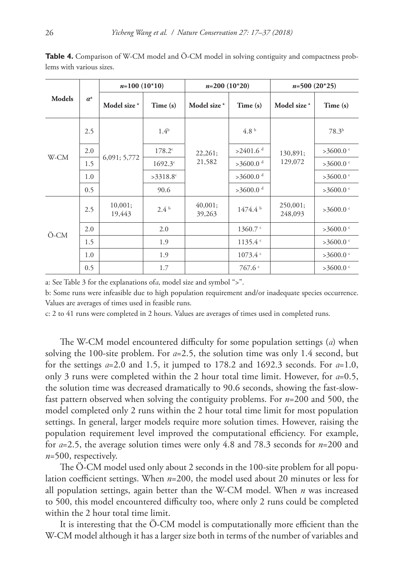|               | $a^{\mathrm{a}}$ | $n=100(10*10)$          |                  | $n=200(10*20)$          |                        | $n=500(20*25)$          |                   |
|---------------|------------------|-------------------------|------------------|-------------------------|------------------------|-------------------------|-------------------|
| <b>Models</b> |                  | Model size <sup>a</sup> | Time (s)         | Model size <sup>a</sup> | Time (s)               | Model size <sup>a</sup> | Time (s)          |
| W-CM          | 2.5              |                         | 1.4 <sup>b</sup> | 22,261;<br>21,582       | 4.8 <sup>b</sup>       | 130,891;<br>129,072     | 78.3 <sup>b</sup> |
|               | 2.0              | 6,091; 5,772            | $178.2^{\circ}$  |                         | $>2401.6$ <sup>d</sup> |                         | >3600.0           |
|               | 1.5              |                         | $1692.3^{\circ}$ |                         | $>3600.0$ <sup>d</sup> |                         | >3600.0 $\degree$ |
|               | 1.0              |                         | $>3318.8$ °      |                         | $>3600.0$ <sup>d</sup> |                         | >3600.0 $\degree$ |
|               | 0.5              |                         | 90.6             |                         | $>3600.0$ <sup>d</sup> |                         | >3600.0 $\degree$ |
| Ö-CM          | 2.5              | 10,001;<br>19,443       | 2.4 <sup>b</sup> | 40,001;<br>39,263       | 1474.4 <sup>b</sup>    | 250,001;<br>248,093     | >3600.0 $\degree$ |
|               | 2.0              |                         | 2.0              |                         | $1360.7$ $\degree$     |                         | >3600.0 $\degree$ |
|               | 1.5              |                         | 1.9              |                         | 1135.4                 |                         | >3600.0           |
|               | 1.0              |                         | 1.9              |                         | 1073.4                 |                         | >3600.0 $\degree$ |
|               | 0.5              |                         | 1.7              |                         | 767.6                  |                         | >3600.0 $\degree$ |

**Table 4.** Comparison of W-CM model and Ö-CM model in solving contiguity and compactness problems with various sizes.

a: See Table 3 for the explanations of*α*, model size and symbol ">".

b: Some runs were infeasible due to high population requirement and/or inadequate species occurrence. Values are averages of times used in feasible runs.

c: 2 to 41 runs were completed in 2 hours. Values are averages of times used in completed runs.

The W-CM model encountered difficulty for some population settings (*α*) when solving the 100-site problem. For *α*=2.5, the solution time was only 1.4 second, but for the settings *α*=2.0 and 1.5, it jumped to 178.2 and 1692.3 seconds. For *α*=1.0, only 3 runs were completed within the 2 hour total time limit. However, for *α*=0.5, the solution time was decreased dramatically to 90.6 seconds, showing the fast-slowfast pattern observed when solving the contiguity problems. For *n*=200 and 500, the model completed only 2 runs within the 2 hour total time limit for most population settings. In general, larger models require more solution times. However, raising the population requirement level improved the computational efficiency. For example, for *α*=2.5, the average solution times were only 4.8 and 78.3 seconds for *n*=200 and *n*=500, respectively.

The O-CM model used only about 2 seconds in the 100-site problem for all population coefficient settings. When *n*=200, the model used about 20 minutes or less for all population settings, again better than the W-CM model. When *n* was increased to 500, this model encountered difficulty too, where only 2 runs could be completed within the 2 hour total time limit.

It is interesting that the Ö-CM model is computationally more efficient than the W-CM model although it has a larger size both in terms of the number of variables and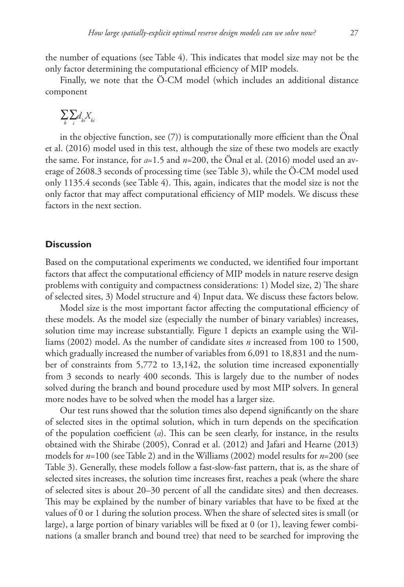the number of equations (see Table 4). This indicates that model size may not be the only factor determining the computational efficiency of MIP models.

Finally, we note that the Ö-CM model (which includes an additional distance component

$$
\sum_k \sum_i d_{ki} X_{ki}
$$

in the objective function, see (7)) is computationally more efficient than the Önal et al. (2016) model used in this test, although the size of these two models are exactly the same. For instance, for *α*=1.5 and *n*=200, the Önal et al. (2016) model used an average of 2608.3 seconds of processing time (see Table 3), while the Ö-CM model used only 1135.4 seconds (see Table 4). This, again, indicates that the model size is not the only factor that may affect computational efficiency of MIP models. We discuss these factors in the next section.

## **Discussion**

Based on the computational experiments we conducted, we identified four important factors that affect the computational efficiency of MIP models in nature reserve design problems with contiguity and compactness considerations: 1) Model size, 2) The share of selected sites, 3) Model structure and 4) Input data. We discuss these factors below.

Model size is the most important factor affecting the computational efficiency of these models. As the model size (especially the number of binary variables) increases, solution time may increase substantially. Figure 1 depicts an example using the Williams (2002) model. As the number of candidate sites *n* increased from 100 to 1500, which gradually increased the number of variables from 6,091 to 18,831 and the number of constraints from 5,772 to 13,142, the solution time increased exponentially from 3 seconds to nearly 400 seconds. This is largely due to the number of nodes solved during the branch and bound procedure used by most MIP solvers. In general more nodes have to be solved when the model has a larger size.

Our test runs showed that the solution times also depend significantly on the share of selected sites in the optimal solution, which in turn depends on the specification of the population coefficient (*α*). This can be seen clearly, for instance, in the results obtained with the Shirabe (2005), Conrad et al. (2012) and Jafari and Hearne (2013) models for *n*=100 (see Table 2) and in the Williams (2002) model results for *n*=200 (see Table 3). Generally, these models follow a fast-slow-fast pattern, that is, as the share of selected sites increases, the solution time increases first, reaches a peak (where the share of selected sites is about 20–30 percent of all the candidate sites) and then decreases. This may be explained by the number of binary variables that have to be fixed at the values of 0 or 1 during the solution process. When the share of selected sites is small (or large), a large portion of binary variables will be fixed at 0 (or 1), leaving fewer combinations (a smaller branch and bound tree) that need to be searched for improving the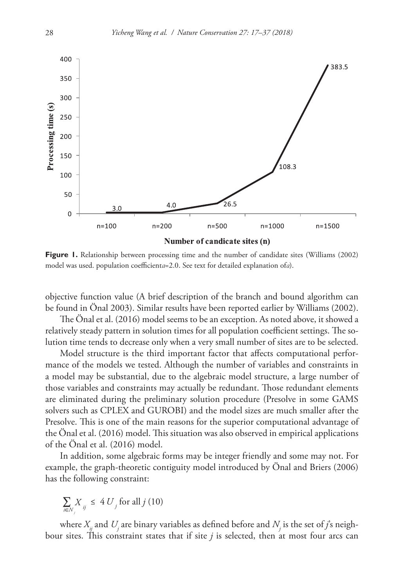

**Figure 1.** Relationship between processing time and the number of candidate sites (Williams (2002) model was used. population coefficient*α*=2.0. See text for detailed explanation of*α*).

objective function value (A brief description of the branch and bound algorithm can be found in Önal 2003). Similar results have been reported earlier by Williams (2002).

The Önal et al. (2016) model seems to be an exception. As noted above, it showed a relatively steady pattern in solution times for all population coefficient settings. The solution time tends to decrease only when a very small number of sites are to be selected.

Model structure is the third important factor that affects computational performance of the models we tested. Although the number of variables and constraints in a model may be substantial, due to the algebraic model structure, a large number of those variables and constraints may actually be redundant. Those redundant elements are eliminated during the preliminary solution procedure (Presolve in some GAMS solvers such as CPLEX and GUROBI) and the model sizes are much smaller after the Presolve. This is one of the main reasons for the superior computational advantage of the Önal et al. (2016) model. This situation was also observed in empirical applications of the Önal et al. (2016) model.

In addition, some algebraic forms may be integer friendly and some may not. For example, the graph-theoretic contiguity model introduced by Önal and Briers (2006) has the following constraint:

$$
\sum_{i \in N_j} X_{ij} \leq 4 U_j \text{ for all } j \text{ (10)}
$$

where  $X_{\!j}^{}$  and  $U_{\!j}^{}$  are binary variables as defined before and  $N_{\!j}^{}$  is the set of  $j$ 's neighbour sites. This constraint states that if site  $j$  is selected, then at most four arcs can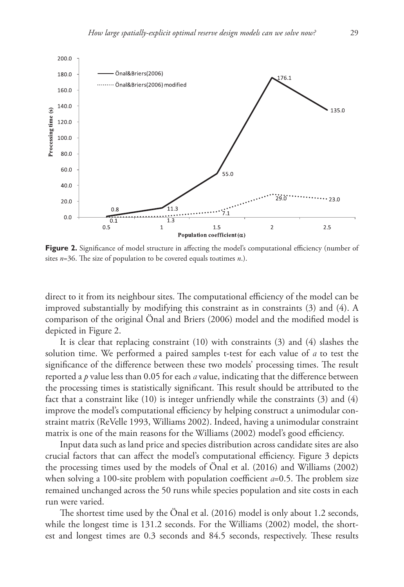

Figure 2. Significance of model structure in affecting the model's computational efficiency (number of sites *n*=36. The size of population to be covered equals to*α*times *n*.).

direct to it from its neighbour sites. The computational efficiency of the model can be improved substantially by modifying this constraint as in constraints (3) and (4). A comparison of the original Önal and Briers (2006) model and the modified model is depicted in Figure 2.

It is clear that replacing constraint (10) with constraints (3) and (4) slashes the solution time. We performed a paired samples t-test for each value of *α* to test the significance of the difference between these two models' processing times. The result reported a *p* value less than 0.05 for each *α* value, indicating that the difference between the processing times is statistically significant. This result should be attributed to the fact that a constraint like (10) is integer unfriendly while the constraints (3) and (4) improve the model's computational efficiency by helping construct a unimodular constraint matrix (ReVelle 1993, Williams 2002). Indeed, having a unimodular constraint matrix is one of the main reasons for the Williams (2002) model's good efficiency.

Input data such as land price and species distribution across candidate sites are also crucial factors that can affect the model's computational efficiency. Figure 3 depicts the processing times used by the models of Önal et al. (2016) and Williams (2002) when solving a 100-site problem with population coefficient *α*=0.5. The problem size remained unchanged across the 50 runs while species population and site costs in each run were varied.

The shortest time used by the Önal et al. (2016) model is only about 1.2 seconds, while the longest time is 131.2 seconds. For the Williams (2002) model, the shortest and longest times are 0.3 seconds and 84.5 seconds, respectively. These results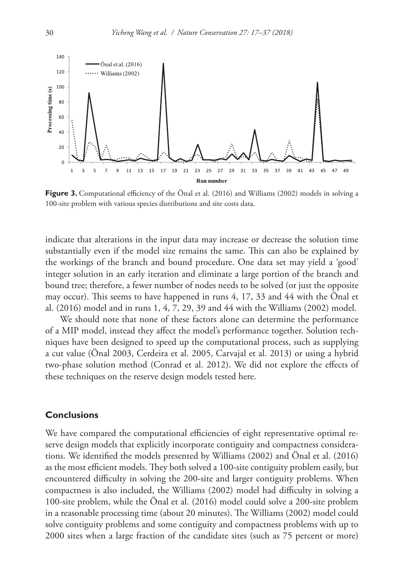

**Figure 3.** Computational efficiency of the Önal et al. (2016) and Williams (2002) models in solving a 100-site problem with various species distributions and site costs data.

indicate that alterations in the input data may increase or decrease the solution time substantially even if the model size remains the same. This can also be explained by the workings of the branch and bound procedure. One data set may yield a 'good' integer solution in an early iteration and eliminate a large portion of the branch and bound tree; therefore, a fewer number of nodes needs to be solved (or just the opposite may occur). This seems to have happened in runs 4, 17, 33 and 44 with the Önal et al. (2016) model and in runs 1, 4, 7, 29, 39 and 44 with the Williams (2002) model.

We should note that none of these factors alone can determine the performance of a MIP model, instead they affect the model's performance together. Solution techniques have been designed to speed up the computational process, such as supplying a cut value (Önal 2003, Cerdeira et al. 2005, Carvajal et al. 2013) or using a hybrid two-phase solution method (Conrad et al. 2012). We did not explore the effects of these techniques on the reserve design models tested here.

## **Conclusions**

We have compared the computational efficiencies of eight representative optimal reserve design models that explicitly incorporate contiguity and compactness considerations. We identified the models presented by Williams (2002) and Önal et al. (2016) as the most efficient models. They both solved a 100-site contiguity problem easily, but encountered difficulty in solving the 200-site and larger contiguity problems. When compactness is also included, the Williams (2002) model had difficulty in solving a 100-site problem, while the Önal et al. (2016) model could solve a 200-site problem in a reasonable processing time (about 20 minutes). The Williams (2002) model could solve contiguity problems and some contiguity and compactness problems with up to 2000 sites when a large fraction of the candidate sites (such as 75 percent or more)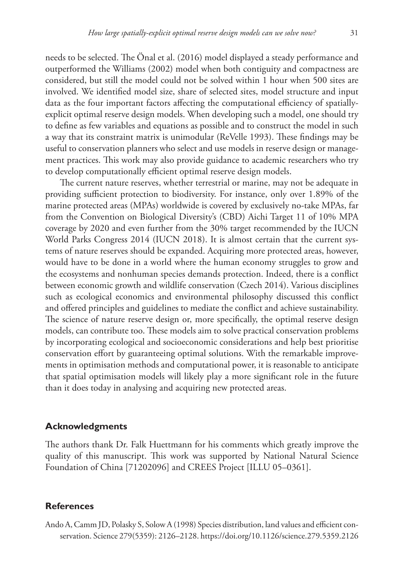needs to be selected. The Önal et al. (2016) model displayed a steady performance and outperformed the Williams (2002) model when both contiguity and compactness are considered, but still the model could not be solved within 1 hour when 500 sites are involved. We identified model size, share of selected sites, model structure and input data as the four important factors affecting the computational efficiency of spatiallyexplicit optimal reserve design models. When developing such a model, one should try to define as few variables and equations as possible and to construct the model in such a way that its constraint matrix is unimodular (ReVelle 1993). These findings may be useful to conservation planners who select and use models in reserve design or management practices. This work may also provide guidance to academic researchers who try to develop computationally efficient optimal reserve design models.

The current nature reserves, whether terrestrial or marine, may not be adequate in providing sufficient protection to biodiversity. For instance, only over 1.89% of the marine protected areas (MPAs) worldwide is covered by exclusively no-take MPAs, far from the Convention on Biological Diversity's (CBD) Aichi Target 11 of 10% MPA coverage by 2020 and even further from the 30% target recommended by the IUCN World Parks Congress 2014 (IUCN 2018). It is almost certain that the current systems of nature reserves should be expanded. Acquiring more protected areas, however, would have to be done in a world where the human economy struggles to grow and the ecosystems and nonhuman species demands protection. Indeed, there is a conflict between economic growth and wildlife conservation (Czech 2014). Various disciplines such as ecological economics and environmental philosophy discussed this conflict and offered principles and guidelines to mediate the conflict and achieve sustainability. The science of nature reserve design or, more specifically, the optimal reserve design models, can contribute too. These models aim to solve practical conservation problems by incorporating ecological and socioeconomic considerations and help best prioritise conservation effort by guaranteeing optimal solutions. With the remarkable improvements in optimisation methods and computational power, it is reasonable to anticipate that spatial optimisation models will likely play a more significant role in the future than it does today in analysing and acquiring new protected areas.

## **Acknowledgments**

The authors thank Dr. Falk Huettmann for his comments which greatly improve the quality of this manuscript. This work was supported by National Natural Science Foundation of China [71202096] and CREES Project [ILLU 05–0361].

### **References**

Ando A, Camm JD, Polasky S, Solow A (1998) Species distribution, land values and efficient conservation. Science 279(5359): 2126–2128.<https://doi.org/10.1126/science.279.5359.2126>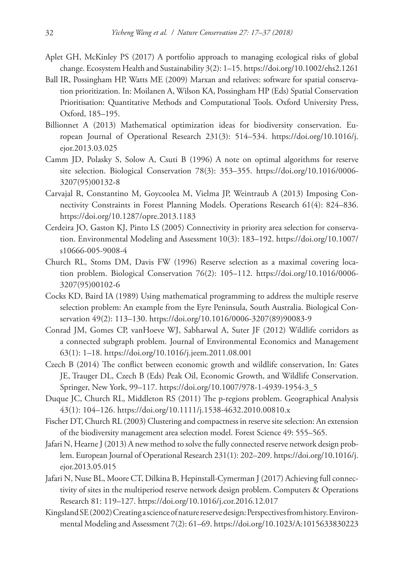- Aplet GH, McKinley PS (2017) A portfolio approach to managing ecological risks of global change. Ecosystem Health and Sustainability 3(2): 1–15.<https://doi.org/10.1002/ehs2.1261>
- Ball IR, Possingham HP, Watts ME (2009) Marxan and relatives: software for spatial conservation prioritization. In: Moilanen A, Wilson KA, Possingham HP (Eds) Spatial Conservation Prioritisation: Quantitative Methods and Computational Tools. Oxford University Press, Oxford, 185–195.
- Billionnet A (2013) Mathematical optimization ideas for biodiversity conservation. European Journal of Operational Research 231(3): 514–534. [https://doi.org/10.1016/j.](https://doi.org/10.1016/j.ejor.2013.03.025) [ejor.2013.03.025](https://doi.org/10.1016/j.ejor.2013.03.025)
- Camm JD, Polasky S, Solow A, Csuti B (1996) A note on optimal algorithms for reserve site selection. Biological Conservation 78(3): 353–355. [https://doi.org/10.1016/0006-](https://doi.org/10.1016/0006-3207(95)00132-8) [3207\(95\)00132-8](https://doi.org/10.1016/0006-3207(95)00132-8)
- Carvajal R, Constantino M, Goycoolea M, Vielma JP, Weintraub A (2013) Imposing Connectivity Constraints in Forest Planning Models. Operations Research 61(4): 824–836. <https://doi.org/10.1287/opre.2013.1183>
- Cerdeira JO, Gaston KJ, Pinto LS (2005) Connectivity in priority area selection for conservation. Environmental Modeling and Assessment 10(3): 183–192. [https://doi.org/10.1007/](https://doi.org/10.1007/s10666-005-9008-4) [s10666-005-9008-4](https://doi.org/10.1007/s10666-005-9008-4)
- Church RL, Stoms DM, Davis FW (1996) Reserve selection as a maximal covering location problem. Biological Conservation 76(2): 105–112. [https://doi.org/10.1016/0006-](https://doi.org/10.1016/0006-3207(95)00102-6) [3207\(95\)00102-6](https://doi.org/10.1016/0006-3207(95)00102-6)
- Cocks KD, Baird IA (1989) Using mathematical programming to address the multiple reserve selection problem: An example from the Eyre Peninsula, South Australia. Biological Conservation 49(2): 113–130. [https://doi.org/10.1016/0006-3207\(89\)90083-9](https://doi.org/10.1016/0006-3207(89)90083-9)
- Conrad JM, Gomes CP, vanHoeve WJ, Sabharwal A, Suter JF (2012) Wildlife corridors as a connected subgraph problem. Journal of Environmental Economics and Management 63(1): 1–18. <https://doi.org/10.1016/j.jeem.2011.08.001>
- Czech B (2014) The conflict between economic growth and wildlife conservation, In: Gates JE, Trauger DL, Czech B (Eds) Peak Oil, Economic Growth, and Wildlife Conservation. Springer, New York, 99–117. [https://doi.org/10.1007/978-1-4939-1954-3\\_5](https://doi.org/10.1007/978-1-4939-1954-3_5)
- Duque JC, Church RL, Middleton RS (2011) The p-regions problem. Geographical Analysis 43(1): 104–126. <https://doi.org/10.1111/j.1538-4632.2010.00810.x>
- Fischer DT, Church RL (2003) Clustering and compactness in reserve site selection: An extension of the biodiversity management area selection model. Forest Science 49: 555–565.
- Jafari N, Hearne J (2013) A new method to solve the fully connected reserve network design problem. European Journal of Operational Research 231(1): 202–209. [https://doi.org/10.1016/j.](https://doi.org/10.1016/j.ejor.2013.05.015) [ejor.2013.05.015](https://doi.org/10.1016/j.ejor.2013.05.015)
- Jafari N, Nuse BL, Moore CT, Dilkina B, Hepinstall-Cymerman J (2017) Achieving full connectivity of sites in the multiperiod reserve network design problem. Computers & Operations Research 81: 119–127. <https://doi.org/10.1016/j.cor.2016.12.017>
- Kingsland SE (2002) Creating a science of nature reserve design: Perspectives from history. Environmental Modeling and Assessment 7(2): 61–69.<https://doi.org/10.1023/A:1015633830223>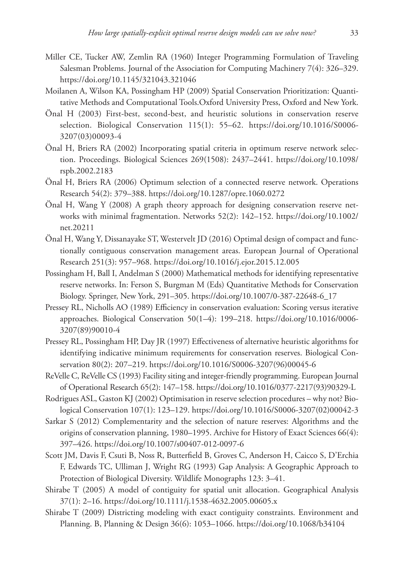- Miller CE, Tucker AW, Zemlin RA (1960) Integer Programming Formulation of Traveling Salesman Problems. Journal of the Association for Computing Machinery 7(4): 326–329. <https://doi.org/10.1145/321043.321046>
- Moilanen A, Wilson KA, Possingham HP (2009) Spatial Conservation Prioritization: Quantitative Methods and Computational Tools.Oxford University Press, Oxford and New York.
- Önal H (2003) First-best, second-best, and heuristic solutions in conservation reserve selection. Biological Conservation 115(1): 55–62. [https://doi.org/10.1016/S0006-](https://doi.org/10.1016/S0006-3207(03)00093-4) [3207\(03\)00093-4](https://doi.org/10.1016/S0006-3207(03)00093-4)
- Önal H, Briers RA (2002) Incorporating spatial criteria in optimum reserve network selection. Proceedings. Biological Sciences 269(1508): 2437–2441. [https://doi.org/10.1098/](https://doi.org/10.1098/rspb.2002.2183) [rspb.2002.2183](https://doi.org/10.1098/rspb.2002.2183)
- Önal H, Briers RA (2006) Optimum selection of a connected reserve network. Operations Research 54(2): 379–388.<https://doi.org/10.1287/opre.1060.0272>
- Önal H, Wang Y (2008) A graph theory approach for designing conservation reserve networks with minimal fragmentation. Networks 52(2): 142–152. [https://doi.org/10.1002/](https://doi.org/10.1002/net.20211) [net.20211](https://doi.org/10.1002/net.20211)
- Önal H, Wang Y, Dissanayake ST, Westervelt JD (2016) Optimal design of compact and functionally contiguous conservation management areas. European Journal of Operational Research 251(3): 957–968.<https://doi.org/10.1016/j.ejor.2015.12.005>
- Possingham H, Ball I, Andelman S (2000) Mathematical methods for identifying representative reserve networks. In: Ferson S, Burgman M (Eds) Quantitative Methods for Conservation Biology. Springer, New York, 291–305. [https://doi.org/10.1007/0-387-22648-6\\_17](https://doi.org/10.1007/0-387-22648-6_17)
- Pressey RL, Nicholls AO (1989) Efficiency in conservation evaluation: Scoring versus iterative approaches. Biological Conservation 50(1–4): 199–218. [https://doi.org/10.1016/0006-](https://doi.org/10.1016/0006-3207(89)90010-4) [3207\(89\)90010-4](https://doi.org/10.1016/0006-3207(89)90010-4)
- Pressey RL, Possingham HP, Day JR (1997) Effectiveness of alternative heuristic algorithms for identifying indicative minimum requirements for conservation reserves. Biological Conservation 80(2): 207–219. [https://doi.org/10.1016/S0006-3207\(96\)00045-6](https://doi.org/10.1016/S0006-3207(96)00045-6)
- ReVelle C, ReVelle CS (1993) Facility siting and integer-friendly programming. European Journal of Operational Research 65(2): 147–158. [https://doi.org/10.1016/0377-2217\(93\)90329-L](https://doi.org/10.1016/0377-2217(93)90329-L)
- Rodrigues ASL, Gaston KJ (2002) Optimisation in reserve selection procedures why not? Biological Conservation 107(1): 123–129. [https://doi.org/10.1016/S0006-3207\(02\)00042-3](https://doi.org/10.1016/S0006-3207(02)00042-3)
- Sarkar S (2012) Complementarity and the selection of nature reserves: Algorithms and the origins of conservation planning, 1980–1995. Archive for History of Exact Sciences 66(4): 397–426.<https://doi.org/10.1007/s00407-012-0097-6>
- Scott JM, Davis F, Csuti B, Noss R, Butterfield B, Groves C, Anderson H, Caicco S, D'Erchia F, Edwards TC, Ulliman J, Wright RG (1993) Gap Analysis: A Geographic Approach to Protection of Biological Diversity. Wildlife Monographs 123: 3–41.
- Shirabe T (2005) A model of contiguity for spatial unit allocation. Geographical Analysis 37(1): 2–16. <https://doi.org/10.1111/j.1538-4632.2005.00605.x>
- Shirabe T (2009) Districting modeling with exact contiguity constraints. Environment and Planning. B, Planning & Design 36(6): 1053–1066.<https://doi.org/10.1068/b34104>